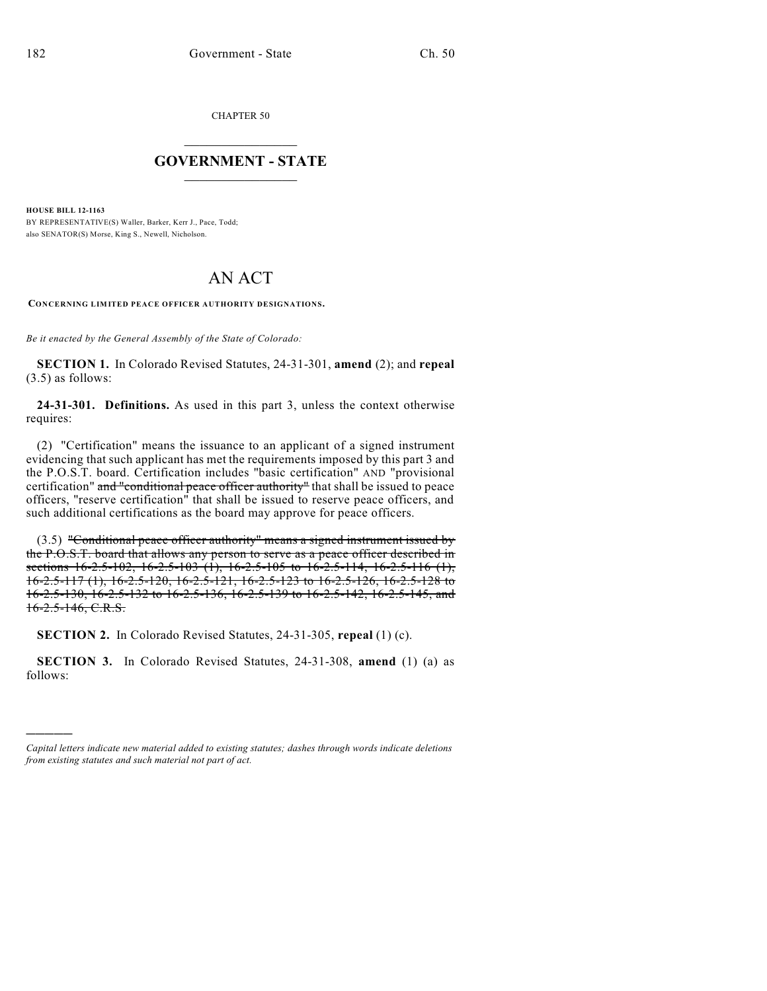)))))

CHAPTER 50

## $\mathcal{L}_\text{max}$  . The set of the set of the set of the set of the set of the set of the set of the set of the set of the set of the set of the set of the set of the set of the set of the set of the set of the set of the set **GOVERNMENT - STATE**  $\_$   $\_$

**HOUSE BILL 12-1163** BY REPRESENTATIVE(S) Waller, Barker, Kerr J., Pace, Todd; also SENATOR(S) Morse, King S., Newell, Nicholson.

## AN ACT

**CONCERNING LIMITED PEACE OFFICER AUTHORITY DESIGNATIONS.**

*Be it enacted by the General Assembly of the State of Colorado:*

**SECTION 1.** In Colorado Revised Statutes, 24-31-301, **amend** (2); and **repeal** (3.5) as follows:

**24-31-301. Definitions.** As used in this part 3, unless the context otherwise requires:

(2) "Certification" means the issuance to an applicant of a signed instrument evidencing that such applicant has met the requirements imposed by this part 3 and the P.O.S.T. board. Certification includes "basic certification" AND "provisional certification" and "conditional peace officer authority" that shall be issued to peace officers, "reserve certification" that shall be issued to reserve peace officers, and such additional certifications as the board may approve for peace officers.

(3.5) "Conditional peace officer authority" means a signed instrument issued by the P.O.S.T. board that allows any person to serve as a peace officer described in sections 16-2.5-102, 16-2.5-103 (1), 16-2.5-105 to 16-2.5-114, 16-2.5-116 (1), 16-2.5-117 (1), 16-2.5-120, 16-2.5-121, 16-2.5-123 to 16-2.5-126, 16-2.5-128 to 16-2.5-130, 16-2.5-132 to 16-2.5-136, 16-2.5-139 to 16-2.5-142, 16-2.5-145, and 16-2.5-146, C.R.S.

**SECTION 2.** In Colorado Revised Statutes, 24-31-305, **repeal** (1) (c).

**SECTION 3.** In Colorado Revised Statutes, 24-31-308, **amend** (1) (a) as follows:

*Capital letters indicate new material added to existing statutes; dashes through words indicate deletions from existing statutes and such material not part of act.*